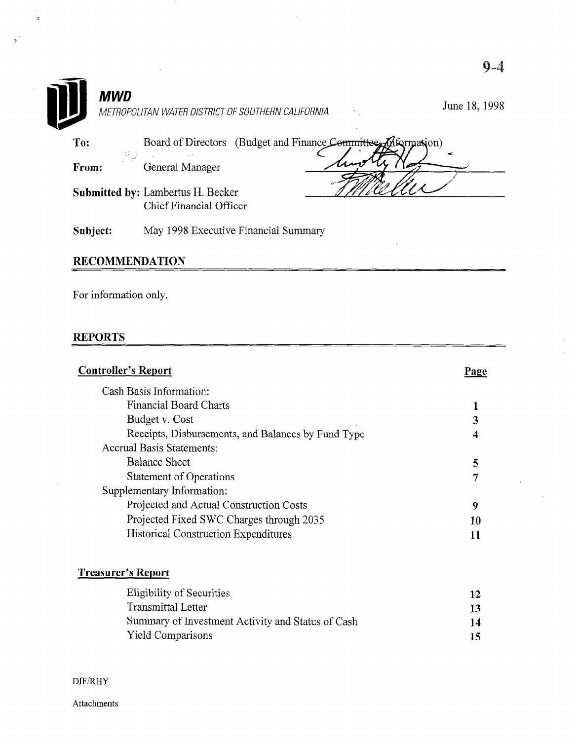|            | 9.4                                                                       |
|------------|---------------------------------------------------------------------------|
| <b>MWD</b> | June 18, 1998<br>Ã.<br>METROPOLITAN WATER DISTRICT OF SOUTHERN CALIFORNIA |
| To:        | (Budget and Finance Committee, Information)<br>Board of Directors         |
| From:      | General Manager                                                           |
|            | <b>Submitted by: Lambertus H. Becker</b><br>Chief Financial Officer       |
| Subject:   | May 1998 Executive Financial Summary                                      |

### **RECOMMENDATION**

 $\bar{\gamma}$ 

For information only.

#### REPORTS

 $\sim$ 

 $\frac{1}{2}$ 

 $\sim$ 

 $\mathcal{R}^{\mathcal{E}}$ 

| <b>Controller's Report</b>                         | Page |
|----------------------------------------------------|------|
| Cash Basis Information:                            |      |
| Financial Board Charts                             |      |
| Budget v. Cost                                     | 3    |
| Receipts, Disbursements, and Balances by Fund Type | 4    |
| <b>Accrual Basis Statements:</b>                   |      |
| <b>Balance Sheet</b>                               | 5    |
| <b>Statement of Operations</b>                     | 7    |
| Supplementary Information:                         |      |
| Projected and Actual Construction Costs            | 9    |
| Projected Fixed SWC Charges through 2035           | 10   |
| <b>Historical Construction Expenditures</b>        |      |
| Treas <u>ur</u> er <u>'s Report</u>                |      |
| Eligibility of Securities                          | 12   |

 $\mathcal{L}^{\pm}$ 

 $\bar{\mathcal{A}}$ 

| Eligibility of Securities                         | 12  |
|---------------------------------------------------|-----|
| Transmittal Letter                                | 13  |
| Summary of Investment Activity and Status of Cash | 14  |
| <b>Yield Comparisons</b>                          | 15. |

 $\rm{DIF/RHY}$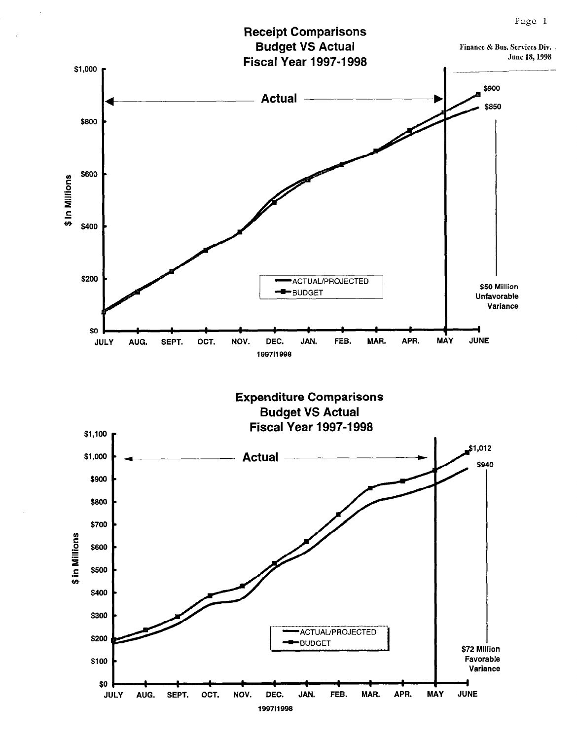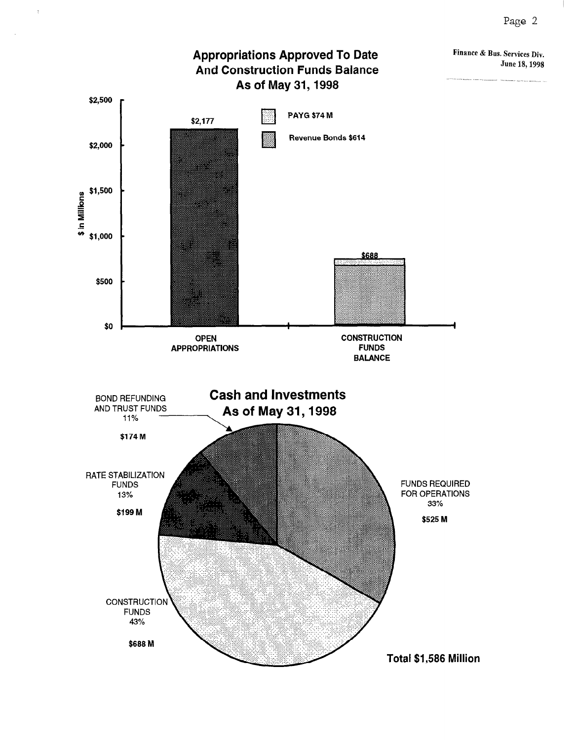Τ



 $\ddot{\phantom{0}}$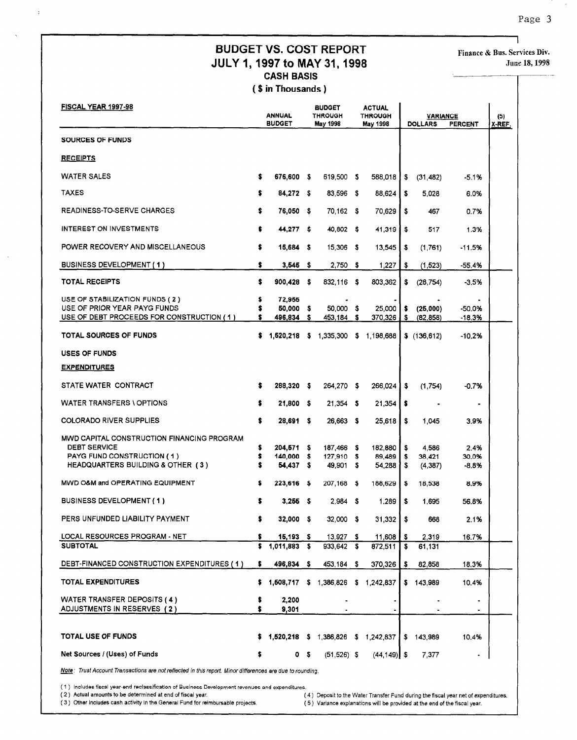#### **BUDGET VS. COST REPORT** Finance & Bus. Services Div. JULY 1, 1997 to MAY 31, 1998 CASH BASIS

( \$ in Thousands )

| FISCAL YEAR 1997-98                                                                                                                  |          | <b>ANNUAL</b><br><b>BUDGET</b>     |                | <b>BUDGET</b><br><b>THROUGH</b><br>May 1998 | <b>ACTUAL</b><br><b>THROUGH</b><br>May 1998 |                 | <b>VARIANCE</b><br><b>DOLLARS</b> | <b>PERCENT</b>         | (5)<br>X-REF. |
|--------------------------------------------------------------------------------------------------------------------------------------|----------|------------------------------------|----------------|---------------------------------------------|---------------------------------------------|-----------------|-----------------------------------|------------------------|---------------|
| SOURCES OF FUNDS                                                                                                                     |          |                                    |                |                                             |                                             |                 |                                   |                        |               |
| <b>RECEIPTS</b>                                                                                                                      |          |                                    |                |                                             |                                             |                 |                                   |                        |               |
| <b>WATER SALES</b>                                                                                                                   | \$       | 676,600 \$                         |                | 619,500 \$                                  | 588,018                                     | \$              | (31, 482)                         | -5.1%                  |               |
| <b>TAXES</b>                                                                                                                         |          | 84.272 \$                          |                | 83,596 \$                                   | 88,624                                      | \$              | 5,028                             | 6.0%                   |               |
| <b>READINESS-TO-SERVE CHARGES</b>                                                                                                    | \$       | 76,050 \$                          |                | 70,162 \$                                   | 70,629                                      | \$              | 467                               | 0.7%                   |               |
| <b>INTEREST ON INVESTMENTS</b>                                                                                                       |          | 44,277 \$                          |                | 40,802 \$                                   | 41,319                                      | \$              | 517                               | 1.3%                   |               |
| POWER RECOVERY AND MISCELLANEOUS                                                                                                     | s        | $15,684$ \$                        |                | 15,306 \$                                   | 13,545                                      | \$              | (1,761)                           | $-11.5%$               |               |
| BUSINESS DEVELOPMENT (1)                                                                                                             | \$.      | $3,545$ \$                         |                | 2,750 \$                                    | 1,227                                       | \$              | (1,523)                           | -55.4%                 |               |
| <b>TOTAL RECEIPTS</b>                                                                                                                | \$       | $900,428$ \$                       |                | 832.116 \$                                  | 803,362                                     | \$              | (28, 754)                         | -3.5%                  |               |
| USE OF STABILIZATION FUNDS (2)<br>USE OF PRIOR YEAR PAYG FUNDS<br>USE OF DEBT PROCEEDS FOR CONSTRUCTION (1)                          |          | 72,955<br>50,000 \$<br>496,834     | s              | 50,000 \$<br>453,184 \$                     | 25,000<br>370,326                           | \$<br>\$        | (25,000)<br>(82, 858)             | $-50.0%$<br>-18.3%     |               |
| <b>TOTAL SOURCES OF FUNDS</b>                                                                                                        | s        |                                    |                | 1,520,218 \$ 1,335,300 \$ 1,198,688         |                                             |                 | \$(136, 612)                      | $-10.2%$               |               |
| <b>USES OF FUNDS</b>                                                                                                                 |          |                                    |                |                                             |                                             |                 |                                   |                        |               |
| <b>EXPENDITURES</b>                                                                                                                  |          |                                    |                |                                             |                                             |                 |                                   |                        |               |
| STATE WATER CONTRACT                                                                                                                 | s        | 288,320 \$                         |                | 264 270 \$                                  | 266,024                                     | \$              | (1,754)                           | -0.7%                  |               |
| <b>WATER TRANSFERS \ OPTIONS</b>                                                                                                     | s        | 21,800 \$                          |                | $21,354$ \$                                 | 21,354                                      | s               |                                   | $\blacksquare$         |               |
| <b>COLORADO RIVER SUPPLIES</b>                                                                                                       | \$       | 28,691 \$                          |                | 26,663 \$                                   | 25,618                                      | \$              | 1,045                             | 3.9%                   |               |
| MWD CAPITAL CONSTRUCTION FINANCING PROGRAM<br><b>DEBT SERVICE</b><br>PAYG FUND CONSTRUCTION (1)<br>HEADQUARTERS BUILDING & OTHER (3) | \$       | 204,571 \$<br>140,000<br>54,437 \$ | - \$           | 187,466 \$<br>127,910 \$<br>49,901 \$       | 182,880<br>89.489<br>54,288                 | -\$<br>\$<br>\$ | 4,586<br>38,421<br>(4, 387)       | 2.4%<br>30.0%<br>-8.8% |               |
| MWD O&M and OPERATING EQUIPMENT                                                                                                      | s        | 223,616 \$                         |                | 207,168 \$                                  | 188,629                                     | \$              | 18,538                            | 8.9%                   |               |
| <b>BUSINESS DEVELOPMENT (1)</b>                                                                                                      |          | $3,255$ \$                         |                | $2,984$ \$                                  | 1.289                                       | \$              | 1,695                             | 56.8%                  |               |
| PERS UNFUNDED LIABILITY PAYMENT                                                                                                      |          | 32,000 \$                          |                | 32,000 \$                                   | $31,332$   \$                               |                 | 668                               | 2.1%                   |               |
| <b>LOCAL RESOURCES PROGRAM - NET</b>                                                                                                 | s        | $15,193$ \$                        |                | $13,927$ \$                                 | 11,608                                      | \$              | 2,319                             | 16.7%                  |               |
| <b>SUBTOTAL</b>                                                                                                                      | \$       | 1,011.883 \$                       |                | 933,642 \$                                  | 872.511                                     | \$              | 61,131                            |                        |               |
| DEBT-FINANCED CONSTRUCTION EXPENDITURES (1)                                                                                          | s.       | 496,834 \$                         |                | 453,184 \$                                  | 370,326                                     | \$              | 82,858                            | 18.3%                  |               |
| <b>TOTAL EXPENDITURES</b>                                                                                                            | s        |                                    |                | 1,508,717 \$ 1,386,826 \$ 1,242,837         |                                             |                 | \$143,989                         | 10.4%                  |               |
| <b>WATER TRANSFER DEPOSITS (4)</b><br>ADJUSTMENTS IN RESERVES (2)                                                                    | \$<br>\$ | 2,200<br>9,301                     |                |                                             |                                             |                 |                                   |                        |               |
| <b>TOTAL USE OF FUNDS</b>                                                                                                            | s        | $1,520,218$ \$                     |                | 1,386,826 \$ 1,242,837                      |                                             |                 | \$143,989                         | 10.4%                  |               |
| Net Sources / (Uses) of Funds                                                                                                        | \$       |                                    | 0 <sub>5</sub> | $(51,526)$ \$                               | $(44, 149)$ \$                              |                 | 7,377                             |                        |               |

Note: Trust Account Transactions are not reflected in this report. Minor differences are due to rounding.

 $(3)$  includes liscal year-end recrassification of business bevelopment revent

(3) Other includes cash activity in the General Fund for reimbursable projects.

(4) Deposit to the Water Transfer Fund during the fiscal year net of expenditures.

(5) Variance explanations will be provided at the end of the fiscal year.

Page 3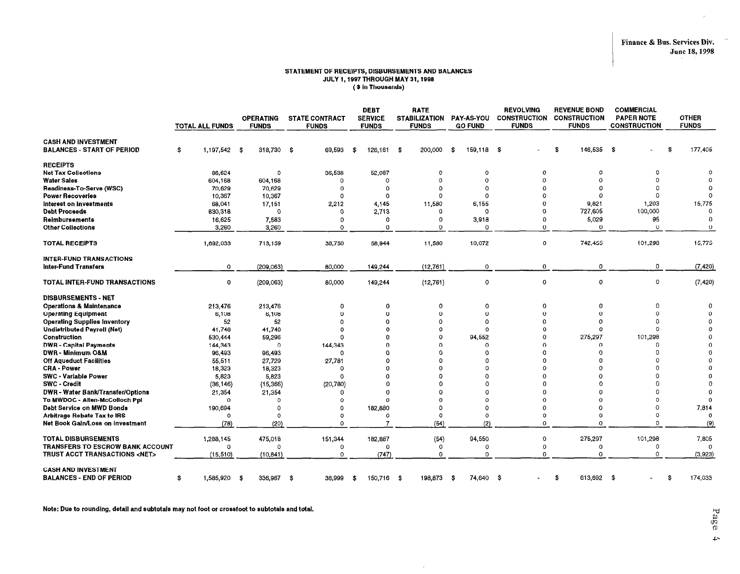$\rightarrow$ 

#### STATEMENT OF RECEIPTS, DISBURSEMENTS AND BALANCES JULY 1,1997 THROUGH MAY 31,199s ( \$ in Thousands)

|                                                                 | <b>TOTAL ALL FUNDS</b> | <b>OPERATING</b><br><b>FUNDS</b> | <b>STATE CONTRACT</b><br><b>FUNDS</b> | <b>DEBT</b><br><b>SERVICE</b><br><b>FUNDS</b> | RATE<br><b>STABILIZATION</b><br><b>FUNDS</b> | <b>PAY-AS-YOU</b><br><b>GO FUND</b> | <b>REVOLVING</b><br><b>CONSTRUCTION</b><br><b>FUNDS</b> | <b>REVENUE BOND</b><br><b>CONSTRUCTION</b><br><b>FUNDS</b> | <b>COMMERCIAL</b><br><b>PAPER NOTE</b><br><b>CONSTRUCTION</b> | <b>OTHER</b><br><b>FUNDS</b> |
|-----------------------------------------------------------------|------------------------|----------------------------------|---------------------------------------|-----------------------------------------------|----------------------------------------------|-------------------------------------|---------------------------------------------------------|------------------------------------------------------------|---------------------------------------------------------------|------------------------------|
| <b>CASH AND INVESTMENT</b><br><b>BALANCES - START OF PERIOD</b> | 1,197,542 \$<br>s      | 318,730 \$                       | 69,593                                | \$<br>126,161                                 | 200,000<br>- \$                              | 159,118 \$<br>- \$                  |                                                         | \$<br>146,535                                              | - \$                                                          | 177,405<br>\$                |
| <b>RECEIPTS</b>                                                 |                        |                                  |                                       |                                               |                                              |                                     |                                                         |                                                            |                                                               |                              |
| <b>Net Tax Collections</b>                                      | 88.624                 | $\circ$                          | 36,538                                | 52,087                                        | $\Omega$                                     | $^{\circ}$                          | $\mathbf 0$                                             | Ω                                                          | o                                                             |                              |
| <b>Water Sales</b>                                              | 604.168                | 604,168                          | 0                                     | 0                                             | $\Omega$                                     | 0                                   | $\Omega$                                                |                                                            | $\Omega$                                                      |                              |
| Readiness-To-Serve (WSC)                                        | 70,629                 | 70,629                           | $\Omega$                              | $\Omega$                                      | $\Omega$                                     | $\Omega$                            |                                                         |                                                            | $\Omega$                                                      |                              |
| <b>Power Recoveries</b>                                         | 10,367                 | 10,367                           | $\Omega$                              | $\Omega$                                      | $\Omega$                                     | $\Omega$                            |                                                         |                                                            | $\Omega$                                                      | $\Omega$                     |
| interest on investments<br><b>Debt Proceeds</b>                 | 68.041                 | 17,151<br>$^{\circ}$             | 2,212<br>0                            | 4,145                                         | 11,580<br>$^{\circ}$                         | 6,155<br>0                          | $\Omega$<br>0                                           | 9821<br>727,605                                            | 1,203<br>100,000                                              | 15,775<br>0                  |
| Reimbursements                                                  | 830,318<br>16,625      | 7,583                            | $\Omega$                              | 2.713<br>0                                    | $\Omega$                                     | 3,918                               | $\Omega$                                                | 5,029                                                      | 95                                                            | $\Omega$                     |
| <b>Other Collections</b>                                        | 3,260                  | 3,260                            | $\Omega$                              | $\Omega$                                      | $\Omega$                                     | $\mathbf 0$                         | $\Omega$                                                | $\Omega$                                                   | $\mathbf 0$                                                   | $\overline{0}$               |
|                                                                 |                        |                                  |                                       |                                               |                                              |                                     |                                                         |                                                            |                                                               |                              |
| <b>TOTAL RECEIPTS</b>                                           | 1,692,033              | 713,159                          | 38,750                                | 58.944                                        | 11,580                                       | 10,072                              | $\Omega$                                                | 742,455                                                    | 101,298                                                       | 15,775                       |
| <b>INTER-FUND TRANSACTIONS</b><br><b>Inter-Fund Transfers</b>   | 0                      | (209, 063)                       | 80,000                                | 149,244                                       | (12, 761)                                    | 0                                   | 0                                                       | 0                                                          | 0                                                             | (7, 420)                     |
| TOTAL INTER-FUND TRANSACTIONS                                   | 0                      | (209, 063)                       | 80,000                                | 149,244                                       | (12, 761)                                    | 0                                   | $\mathbf 0$                                             | $\Omega$                                                   | $\circ$                                                       | (7, 420)                     |
| <b>DISBURSEMENTS - NET</b>                                      |                        |                                  |                                       |                                               |                                              |                                     |                                                         |                                                            |                                                               |                              |
| <b>Operations &amp; Maintenance</b>                             | 213,476                | 213,476                          | $^{\circ}$                            | 0                                             | n                                            | $\Omega$                            | $\Omega$                                                | 0                                                          | $\Omega$                                                      |                              |
| <b>Operating Equipment</b>                                      | 6,108                  | 6,108                            | $\Omega$                              | o                                             | $\Omega$                                     | 0                                   | $\Omega$                                                | $\Omega$                                                   |                                                               |                              |
| <b>Operating Supplies Inventory</b>                             | 52                     | 52                               | $\Omega$                              | Ω                                             | $\Omega$                                     | Ω                                   |                                                         | O                                                          |                                                               |                              |
| <b>Undistributed Payroll (Net)</b>                              | 41,748                 | 41,748                           | $\Omega$                              | $\Omega$                                      | $\Omega$                                     | $\Omega$                            | n                                                       | $\Omega$                                                   | $\Omega$                                                      |                              |
| <b>Construction</b>                                             | 530,444                | 59,296                           | $\Omega$                              | n                                             | $\Omega$                                     | 94,552                              | $\Omega$                                                | 275,297                                                    | 101,298                                                       |                              |
| <b>DWR - Capital Payments</b>                                   | 144,343                | $\Omega$                         | 144,343                               | n                                             |                                              | -0                                  |                                                         | $\Omega$                                                   | $\Omega$                                                      |                              |
| DWR - Minimum O&M                                               | 96,493                 | 96,493                           | $^{\circ}$                            | c                                             |                                              | O                                   |                                                         | $\Omega$                                                   | $\Omega$                                                      | $\Omega$                     |
| Off Aqueduct Facilities                                         | 55,511                 | 27,729                           | 27,781                                | Ω                                             |                                              | n                                   |                                                         |                                                            |                                                               |                              |
| <b>CRA-Power</b>                                                | 18,323                 | 18,323                           | -0                                    | $\Omega$                                      |                                              | n                                   |                                                         |                                                            |                                                               |                              |
| <b>SWC - Variable Power</b><br><b>SWC - Credit</b>              | 5.823<br>(36, 146)     | 5,823<br>(15, 366)               | $\Omega$<br>(20, 780)                 |                                               | $\Omega$                                     | O<br>C                              |                                                         |                                                            |                                                               |                              |
| <b>DWR - Water Bank/Transfer/Options</b>                        | 21,354                 | 21,354                           | O                                     | ∩                                             |                                              | n                                   |                                                         |                                                            |                                                               |                              |
| To MWDOC - Allen-McColloch Ppl                                  | $\Omega$               | $\circ$                          | $\Omega$                              | $\Omega$                                      | $\Omega$                                     | $\Omega$                            | $\Omega$                                                | $\Omega$                                                   | $\Omega$                                                      |                              |
| Debt Service on MWD Bonds                                       | 190,694                | $\Omega$                         | $\Omega$                              | 182,880                                       | $\Omega$                                     | 0                                   | $\Omega$                                                | O                                                          | $\Omega$                                                      | 7,814                        |
| <b>Arbitrage Rebate Tax to IRS</b>                              | $\Omega$               | $\Omega$                         | $\Omega$                              | $\Omega$                                      | $\Omega$                                     | $\Omega$                            | $\Omega$                                                | $\Omega$                                                   | $\Omega$                                                      | $\Omega$                     |
| Net Book Gain/Loss on Investment                                | (78)                   | (20)                             | $\Omega$                              |                                               | (54)                                         | (2)                                 | $\Omega$                                                | $\Omega$                                                   | $\Omega$                                                      | (9)                          |
| <b>TOTAL DISBURSEMENTS</b>                                      | 1,288,145              | 475,018                          | 151,344                               | 182,887                                       | (54)                                         | 94,550                              | 0                                                       | 275,297                                                    | 101,298                                                       | 7,805                        |
| <b>TRANSFERS TO ESCROW BANK ACCOUNT</b>                         | $\Omega$               | $\Omega$                         | $\circ$                               | $\Omega$                                      | $\Omega$                                     | $\mathbf 0$                         | $\Omega$                                                | 0                                                          | $\Omega$                                                      |                              |
| TRUST ACCT TRANSACTIONS <net></net>                             | (15.510)               | (10, 841)                        | $\circ$                               | (747)                                         | $\mathbf 0$                                  | $\Omega$                            | $\Omega$                                                | $\Omega$                                                   | $\Omega$                                                      | (3,923)                      |
| <b>CASH AND INVESTMENT</b><br><b>BALANCES - END OF PERIOD</b>   | 1,585,920 \$<br>\$     | 336,967                          | -\$<br>36,999                         | 150,716<br>\$                                 | 198,873<br>- \$                              | -\$<br>74,640 \$                    |                                                         | 613,692 \$<br>\$                                           |                                                               | 174,033<br>\$                |

 $\sim$ 

Note: Due to rounding, detail and subtotals may not foot or crossfoot to subtotals and total.

Page  $\rightarrow$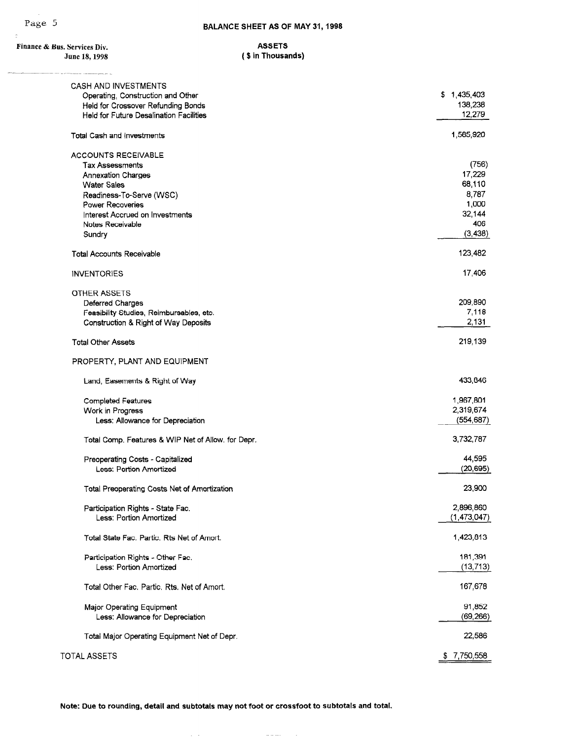$\gamma$ 

 $\frac{1}{2} \left( \frac{1}{2} \right) \left( \frac{1}{2} \right) \left( \frac{1}{2} \right) \left( \frac{1}{2} \right) \left( \frac{1}{2} \right) \left( \frac{1}{2} \right) \left( \frac{1}{2} \right) \left( \frac{1}{2} \right) \left( \frac{1}{2} \right) \left( \frac{1}{2} \right) \left( \frac{1}{2} \right) \left( \frac{1}{2} \right) \left( \frac{1}{2} \right) \left( \frac{1}{2} \right) \left( \frac{1}{2} \right) \left( \frac{1}{2} \right) \left( \frac$ 

| Finance & Bus. Services Div.<br>June 18, 1998                                        | <b>ASSETS</b><br>(\$ in Thousands) |
|--------------------------------------------------------------------------------------|------------------------------------|
|                                                                                      |                                    |
| <b>CASH AND INVESTMENTS</b><br>Operating, Construction and Other                     | \$1,435,403<br>138,238             |
| Held for Crossover Refunding Bonds<br><b>Held for Future Desalination Facilities</b> | 12,279                             |
| Total Cash and Investments                                                           | 1,585,920                          |
| ACCOUNTS RECEIVABLE                                                                  |                                    |
| <b>Tax Assessments</b>                                                               | (756)                              |
| Annexation Charges                                                                   | 17,229                             |
| <b>Water Sales</b>                                                                   | 68,110                             |
| Readiness-To-Serve (WSC)                                                             | 8,787                              |
| Power Recoveries                                                                     | 1,000                              |
| Interest Accrued on Investments                                                      | 32,144                             |
| Notes Receivable                                                                     | 406                                |
| Sundry                                                                               | (3, 438)                           |
| <b>Total Accounts Receivable</b>                                                     | 123,482                            |
| <b>INVENTORIES</b>                                                                   | 17,406                             |
| <b>OTHER ASSETS</b>                                                                  |                                    |
| Deferred Charges                                                                     | 209,890                            |
| Feasibility Studies, Reimbursables, etc.                                             | 7,118                              |
| Construction & Right of Way Deposits                                                 | 2,131                              |
| <b>Total Other Assets</b>                                                            | 219,139                            |
| PROPERTY, PLANT AND EQUIPMENT                                                        |                                    |
| Land, Easements & Right of Way                                                       | 433,846                            |
| <b>Completed Features</b>                                                            | 1,967,801                          |
| Work in Progress                                                                     | 2,319,674                          |
| Less: Allowance for Depreciation                                                     | (554, 687)                         |
| Total Comp. Features & WIP Net of Allow. for Depr.                                   | 3,732,787                          |
| Preoperating Costs - Capitalized                                                     | 44,595                             |
| Less: Portion Amortized                                                              | (20, 695)                          |
| <b>Total Preoperating Costs Net of Amortization</b>                                  | 23,900                             |
| Participation Rights - State Fac.                                                    | 2,896,860                          |
| Less: Portion Amortized                                                              | (1, 473, 047)                      |
| Total State Fac. Partic. Rts Net of Amort.                                           | 1,423,813                          |
| Participation Rights - Other Fac.                                                    | 181,391                            |
| Less: Portion Amortized                                                              | (13, 713)                          |
| Total Other Fac. Partic, Rts. Net of Amort.                                          | 167,678                            |
| Major Operating Equipment                                                            | 91,852                             |
| Less: Allowance for Depreciation                                                     | (69, 266)                          |
| Total Major Operating Equipment Net of Depr.                                         | 22,586                             |

TOTAL ASSETS **\$ 7,750,558** 

Note: Due to rounding, detail and subtotals may not foot or crossfoot to subtotals and total.

a la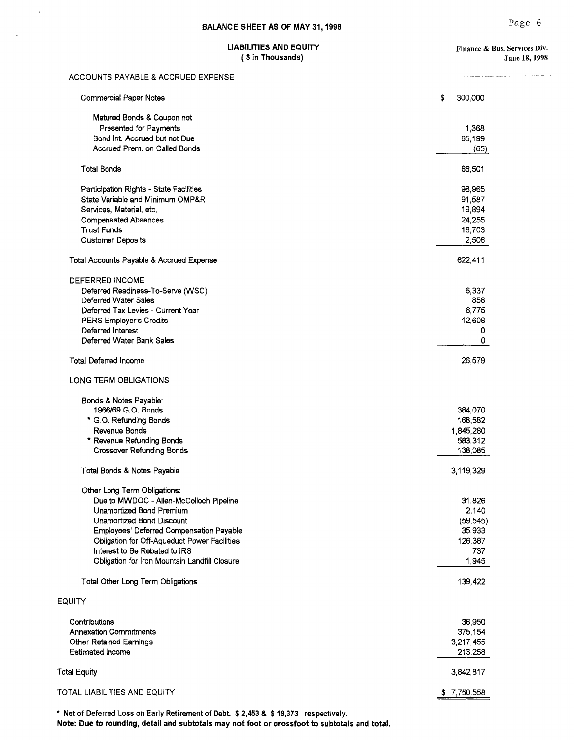ander de

### $($  \$ in Thousands $)$  June 18, 1998

 $\mathcal{A}$ 

 $\hat{\mathcal{L}}$ 

| Matured Bonds & Coupon not<br>Presented for Payments<br>1,368<br>Bond Int. Accrued but not Due<br>65,199<br>Accrued Prem. on Called Bonds<br>(65)<br><b>Total Bonds</b><br>66,501<br>Participation Rights - State Facilities<br>98,965<br>State Variable and Minimum OMP&R<br>91,587<br>19,894<br>Services, Material, etc.<br>24,255<br><b>Compensated Absences</b><br><b>Trust Funds</b><br>18,703<br>2,506<br><b>Customer Deposits</b><br>622,411<br>Total Accounts Payable & Accrued Expense<br><b>DEFERRED INCOME</b><br>Deferred Readiness-To-Serve (WSC)<br>6,337<br>Deferred Water Sales<br>858 |
|--------------------------------------------------------------------------------------------------------------------------------------------------------------------------------------------------------------------------------------------------------------------------------------------------------------------------------------------------------------------------------------------------------------------------------------------------------------------------------------------------------------------------------------------------------------------------------------------------------|
|                                                                                                                                                                                                                                                                                                                                                                                                                                                                                                                                                                                                        |
|                                                                                                                                                                                                                                                                                                                                                                                                                                                                                                                                                                                                        |
|                                                                                                                                                                                                                                                                                                                                                                                                                                                                                                                                                                                                        |
|                                                                                                                                                                                                                                                                                                                                                                                                                                                                                                                                                                                                        |
|                                                                                                                                                                                                                                                                                                                                                                                                                                                                                                                                                                                                        |
|                                                                                                                                                                                                                                                                                                                                                                                                                                                                                                                                                                                                        |
|                                                                                                                                                                                                                                                                                                                                                                                                                                                                                                                                                                                                        |
|                                                                                                                                                                                                                                                                                                                                                                                                                                                                                                                                                                                                        |
|                                                                                                                                                                                                                                                                                                                                                                                                                                                                                                                                                                                                        |
|                                                                                                                                                                                                                                                                                                                                                                                                                                                                                                                                                                                                        |
|                                                                                                                                                                                                                                                                                                                                                                                                                                                                                                                                                                                                        |
|                                                                                                                                                                                                                                                                                                                                                                                                                                                                                                                                                                                                        |
|                                                                                                                                                                                                                                                                                                                                                                                                                                                                                                                                                                                                        |
|                                                                                                                                                                                                                                                                                                                                                                                                                                                                                                                                                                                                        |
|                                                                                                                                                                                                                                                                                                                                                                                                                                                                                                                                                                                                        |
| 6,775<br>Deferred Tax Levies - Current Year                                                                                                                                                                                                                                                                                                                                                                                                                                                                                                                                                            |
| 12,608<br>PERS Employer's Credits                                                                                                                                                                                                                                                                                                                                                                                                                                                                                                                                                                      |
| Deferred Interest<br>0                                                                                                                                                                                                                                                                                                                                                                                                                                                                                                                                                                                 |
| Deferred Water Bank Sales<br>0                                                                                                                                                                                                                                                                                                                                                                                                                                                                                                                                                                         |
| <b>Total Deferred Income</b><br>26,579                                                                                                                                                                                                                                                                                                                                                                                                                                                                                                                                                                 |
| LONG TERM OBLIGATIONS                                                                                                                                                                                                                                                                                                                                                                                                                                                                                                                                                                                  |
| Bonds & Notes Payable:                                                                                                                                                                                                                                                                                                                                                                                                                                                                                                                                                                                 |
| 1966/69 G.O. Bonds<br>384,070                                                                                                                                                                                                                                                                                                                                                                                                                                                                                                                                                                          |
| * G.O. Refunding Bonds<br>168,582                                                                                                                                                                                                                                                                                                                                                                                                                                                                                                                                                                      |
| Revenue Bonds<br>1,845,280                                                                                                                                                                                                                                                                                                                                                                                                                                                                                                                                                                             |
| * Revenue Refunding Bonds<br>583,312                                                                                                                                                                                                                                                                                                                                                                                                                                                                                                                                                                   |
| <b>Crossover Refunding Bonds</b><br>138,085                                                                                                                                                                                                                                                                                                                                                                                                                                                                                                                                                            |
| Total Bonds & Notes Payable<br>3,119,329                                                                                                                                                                                                                                                                                                                                                                                                                                                                                                                                                               |
| Other Long Term Obligations:                                                                                                                                                                                                                                                                                                                                                                                                                                                                                                                                                                           |
| Due to MWDOC - Allen-McColloch Pipeline<br>31,826                                                                                                                                                                                                                                                                                                                                                                                                                                                                                                                                                      |
| Unamortized Bond Premium<br>2,140                                                                                                                                                                                                                                                                                                                                                                                                                                                                                                                                                                      |
| <b>Unamortized Bond Discount</b><br>(59, 545)                                                                                                                                                                                                                                                                                                                                                                                                                                                                                                                                                          |
| 35,933<br>Employees' Deferred Compensation Payable                                                                                                                                                                                                                                                                                                                                                                                                                                                                                                                                                     |
| Obligation for Off-Aqueduct Power Facilities<br>126,387                                                                                                                                                                                                                                                                                                                                                                                                                                                                                                                                                |
| Interest to Be Rebated to IRS<br>737                                                                                                                                                                                                                                                                                                                                                                                                                                                                                                                                                                   |
| Obligation for Iron Mountain Landfill Closure<br>1,945                                                                                                                                                                                                                                                                                                                                                                                                                                                                                                                                                 |
| Total Other Long Term Obligations<br>139,422                                                                                                                                                                                                                                                                                                                                                                                                                                                                                                                                                           |
| <b>EQUITY</b>                                                                                                                                                                                                                                                                                                                                                                                                                                                                                                                                                                                          |
| Contributions<br>36,950                                                                                                                                                                                                                                                                                                                                                                                                                                                                                                                                                                                |
| <b>Annexation Commitments</b><br>375,154                                                                                                                                                                                                                                                                                                                                                                                                                                                                                                                                                               |
| Other Retained Earnings<br>3,217,455                                                                                                                                                                                                                                                                                                                                                                                                                                                                                                                                                                   |
| <b>Estimated Income</b><br>213,258                                                                                                                                                                                                                                                                                                                                                                                                                                                                                                                                                                     |
| <b>Total Equity</b><br>3,842,817                                                                                                                                                                                                                                                                                                                                                                                                                                                                                                                                                                       |
| TOTAL LIABILITIES AND EQUITY<br>\$7,750,558                                                                                                                                                                                                                                                                                                                                                                                                                                                                                                                                                            |

\* Net of Deferred Loss on Early Retirement of Debt. \$ 2,453 & \$ 19,373 respectively.

Note: Due to rounding, detail and subtotals may not foot or crossfoot to subtotals and total.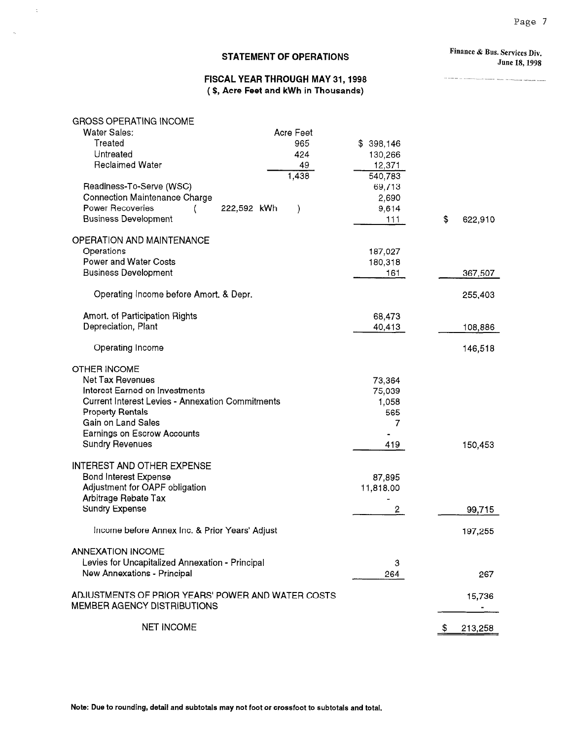#### STATEMENT OF OPERATIONS

Finance & Bus. Services Div. June 18,199s

.<br>A cristian or automobilizació francese ampli la com

#### FISCAL YEAR THROUGH MAY 31,1998 ( \$, Acre Feet and kWh in Thousands)

| <b>GROSS OPERATING INCOME</b> |  |
|-------------------------------|--|
|                               |  |

 $\bar{z}$ 

 $\bar{\mathcal{A}}$ 

| <b>Water Sales:</b>                                     | Acre Feet                    |                |               |
|---------------------------------------------------------|------------------------------|----------------|---------------|
| Treated                                                 | 965                          | \$398,146      |               |
| Untreated                                               | 424                          | 130,266        |               |
| <b>Reclaimed Water</b>                                  | 49                           | 12,371         |               |
|                                                         | 1,438                        | 540,783        |               |
| Readiness-To-Serve (WSC)                                |                              | 69,713         |               |
| <b>Connection Maintenance Charge</b>                    |                              | 2,690          |               |
| Power Recoveries                                        | 222,592 kWh<br>$\mathcal{Y}$ | 9,614          |               |
| <b>Business Development</b>                             |                              | 111            | \$<br>622,910 |
|                                                         |                              |                |               |
| OPERATION AND MAINTENANCE                               |                              |                |               |
| Operations                                              |                              | 187,027        |               |
| <b>Power and Water Costs</b>                            |                              | 180,318        |               |
|                                                         |                              |                |               |
| <b>Business Development</b>                             |                              | 161            | 367,507       |
|                                                         |                              |                |               |
| Operating Income before Amort. & Depr.                  |                              |                | 255,403       |
|                                                         |                              |                |               |
| Amort. of Participation Rights                          |                              | 68,473         |               |
| Depreciation, Plant                                     |                              | 40,413         | 108,886       |
|                                                         |                              |                |               |
| Operating Income                                        |                              |                | 146,518       |
|                                                         |                              |                |               |
| <b>OTHER INCOME</b>                                     |                              |                |               |
| Net Tax Revenues                                        |                              | 73,364         |               |
| Interest Earned on Investments                          |                              | 75,039         |               |
| <b>Current Interest Levies - Annexation Commitments</b> |                              | 1,058          |               |
| <b>Property Rentals</b>                                 |                              | 565            |               |
| Gain on Land Sales                                      |                              | 7              |               |
| Earnings on Escrow Accounts                             |                              |                |               |
|                                                         |                              |                |               |
| <b>Sundry Revenues</b>                                  |                              | 419            | 150,453       |
|                                                         |                              |                |               |
| <b>INTEREST AND OTHER EXPENSE</b>                       |                              |                |               |
| <b>Bond Interest Expense</b>                            |                              | 87,895         |               |
| Adjustment for OAPF obligation                          |                              | 11,818.00      |               |
| Arbitrage Rebate Tax                                    |                              |                |               |
| <b>Sundry Expense</b>                                   |                              | $\overline{2}$ | 99,715        |
|                                                         |                              |                |               |
| Income before Annex Inc. & Prior Years' Adjust          |                              |                | 197,255       |
|                                                         |                              |                |               |
| <b>ANNEXATION INCOME</b>                                |                              |                |               |
| Levies for Uncapitalized Annexation - Principal         |                              | 3              |               |
| New Annexations - Principal                             |                              | 264            | 267           |
|                                                         |                              |                |               |
| ADJUSTMENTS OF PRIOR YEARS' POWER AND WATER COSTS       |                              |                | 15,736        |
| MEMBER AGENCY DISTRIBUTIONS                             |                              |                |               |
|                                                         |                              |                |               |
| <b>NET INCOME</b>                                       |                              |                | 213,258<br>S  |
|                                                         |                              |                |               |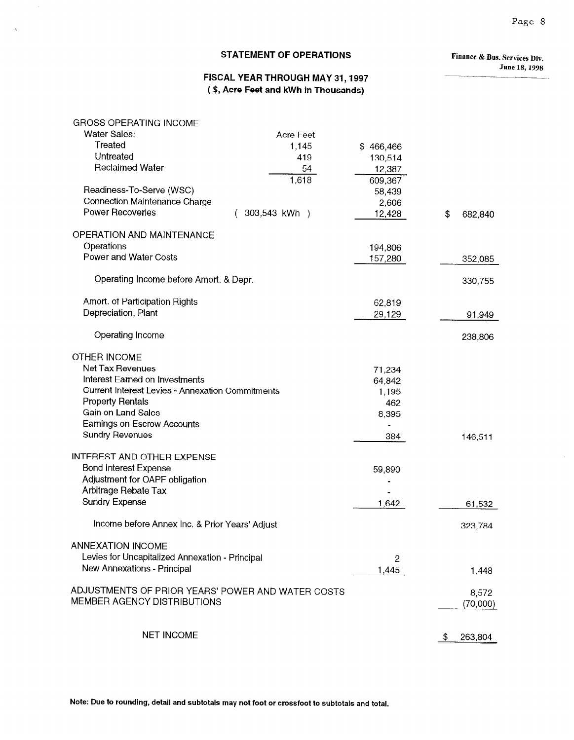#### STATEMENT OF OPERATIONS

à.

 $\bar{\bar{\alpha}}$ 

Finance & Bus. Services Div. June 18,199s

#### FISCAL YEAR THROUGH MAY 31,1997 ( \$, Acre Feet and kWh in Thousands)

| <b>GROSS OPERATING INCOME</b>                     |                         |           |               |
|---------------------------------------------------|-------------------------|-----------|---------------|
| Water Sales:                                      | Acre Feet               |           |               |
| Treated                                           | 1,145                   | \$466,466 |               |
| Untreated                                         | 419                     | 130,514   |               |
| <b>Reclaimed Water</b>                            | 54                      | 12,387    |               |
|                                                   | 1,618                   | 609,367   |               |
| Readiness-To-Serve (WSC)                          |                         | 58,439    |               |
| <b>Connection Maintenance Charge</b>              |                         | 2,606     |               |
| <b>Power Recoveries</b>                           | $(303,543 \text{ kWh})$ | 12,428    | \$<br>682,840 |
| OPERATION AND MAINTENANCE                         |                         |           |               |
| Operations                                        |                         | 194,806   |               |
| Power and Water Costs                             |                         | 157,280   | 352,085       |
|                                                   |                         |           |               |
| Operating Income before Amort. & Depr.            |                         |           | 330,755       |
| Amort. of Participation Rights                    |                         | 62,819    |               |
| Depreciation, Plant                               |                         | 29,129    | 91,949        |
|                                                   |                         |           |               |
| Operating Income                                  |                         |           | 238,806       |
| <b>OTHER INCOME</b>                               |                         |           |               |
| Net Tax Revenues                                  |                         | 71,234    |               |
| Interest Earned on Investments                    |                         | 64,842    |               |
| Current Interest Levies - Annexation Commitments  |                         | 1,195     |               |
| <b>Property Rentals</b>                           |                         | 462       |               |
| Gain on Land Sales                                |                         | 8,395     |               |
| <b>Earnings on Escrow Accounts</b>                |                         |           |               |
| <b>Sundry Revenues</b>                            |                         | 384       | 146,511       |
|                                                   |                         |           |               |
| <b>INTEREST AND OTHER EXPENSE</b>                 |                         |           |               |
| <b>Bond Interest Expense</b>                      |                         | 59,890    |               |
| Adjustment for OAPF obligation                    |                         |           |               |
| Arbitrage Rebate Tax                              |                         |           |               |
| <b>Sundry Expense</b>                             |                         | 1,642     | 61,532        |
| Income before Annex Inc. & Prior Years' Adjust    |                         |           | 323,784       |
| <b>ANNEXATION INCOME</b>                          |                         |           |               |
| Levies for Uncapitalized Annexation - Principal   |                         | 2         |               |
| New Annexations - Principal                       |                         | 1,445     | 1,448         |
| ADJUSTMENTS OF PRIOR YEARS' POWER AND WATER COSTS |                         |           | 8,572         |
| MEMBER AGENCY DISTRIBUTIONS                       |                         |           | (70,000)      |
|                                                   |                         |           |               |
| <b>NET INCOME</b>                                 |                         |           | 263,804<br>S. |

Note: Due to rounding, detail and subtotals may not foot or crossfoot to subtotals and total.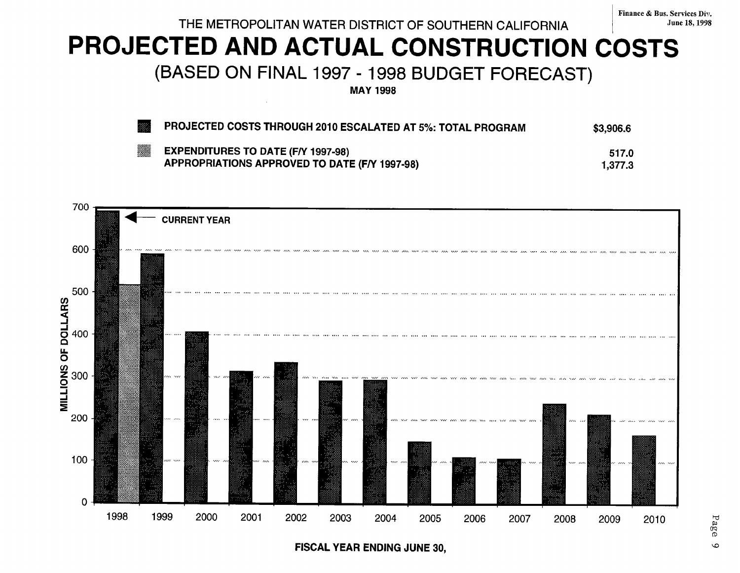THE METROPOLITAN WATER DISTRICT OF SOUTHERN CALIFORNIA For the state of the 18, 1998

# PROJECTED AND ACTUAL CONSTRUCTION COSTS

(BASED ON FINAL 1997 - 1998 BUDGET FORECAST)

MAY 1998

| 33 | PROJECTED COSTS THROUGH 2010 ESCALATED AT 5%: TOTAL PROGRAM                                | \$3,906.6        |
|----|--------------------------------------------------------------------------------------------|------------------|
| ▓  | <b>EXPENDITURES TO DATE (F/Y 1997-98)</b><br>APPROPRIATIONS APPROVED TO DATE (F/Y 1997-98) | 517.0<br>1.377.3 |



FISCAL YEAR ENDING JUNE 30,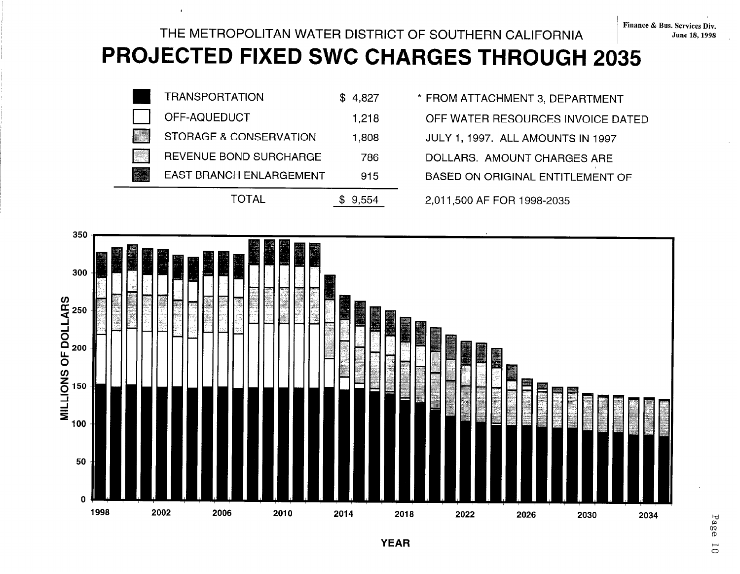### THE METROPOLITAN WATER DISTRICT OF SOUTHERN CALIFORNIA PROJECTED FIXED SWC CHARGES THROUGH 2035



- 
- 
- 
- 
- 



Page  $\overline{0}$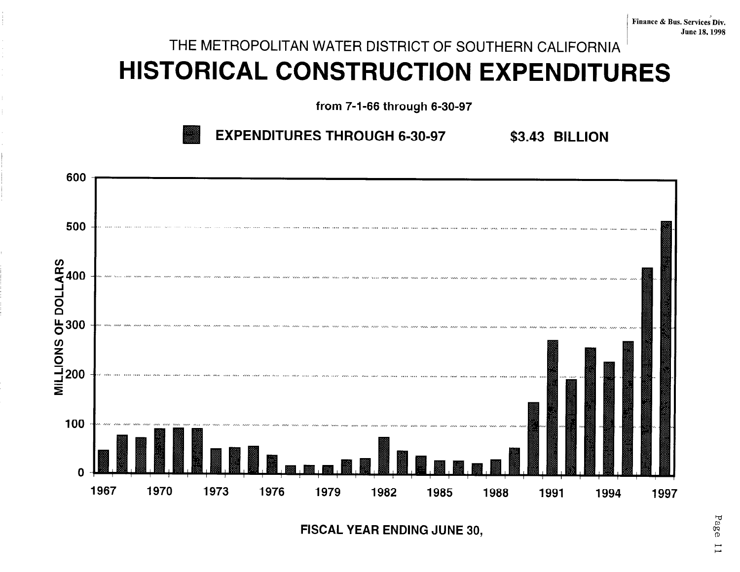## THE METROPOLITAN WATER DISTRICT OF SOUTHERN CALIFORNIA HISTORICAL CONSTRUCTION EXPENDITURES

from 7-l-66 through 6-30-97





FISCAL YEAR ENDING JUNE 30,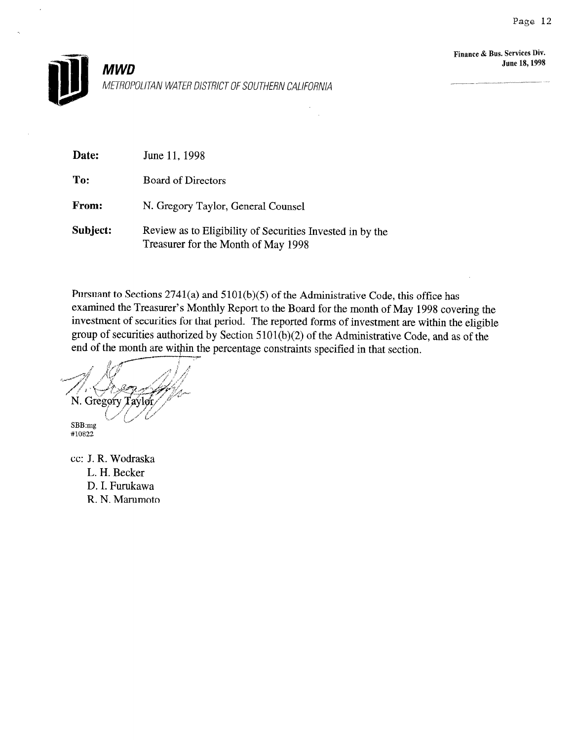

| Date:    | June 11, 1998                                                                                    |
|----------|--------------------------------------------------------------------------------------------------|
| To:      | <b>Board of Directors</b>                                                                        |
| From:    | N. Gregory Taylor, General Counsel                                                               |
| Subject: | Review as to Eligibility of Securities Invested in by the<br>Treasurer for the Month of May 1998 |

Pursuant to Sections 2741(a) and 5101(b)(5) of the Administrative Code, this office has examined the Treasurer's Monthly Report to the Board for the month of May 1998 covering the investment of securities for that period. The reported forms of investment are within the eligible group of securities authorized by Section 5101(b)(2) of the Administrative Code, and as of the end of the month are within the percentage constraints specified in that section.

N. Gregory Taylor

SBB:mg L ا <mark>ب</mark>

cc: J. R. Wodraska L. H. Becker D. I. Furukawa R. N. Marumoto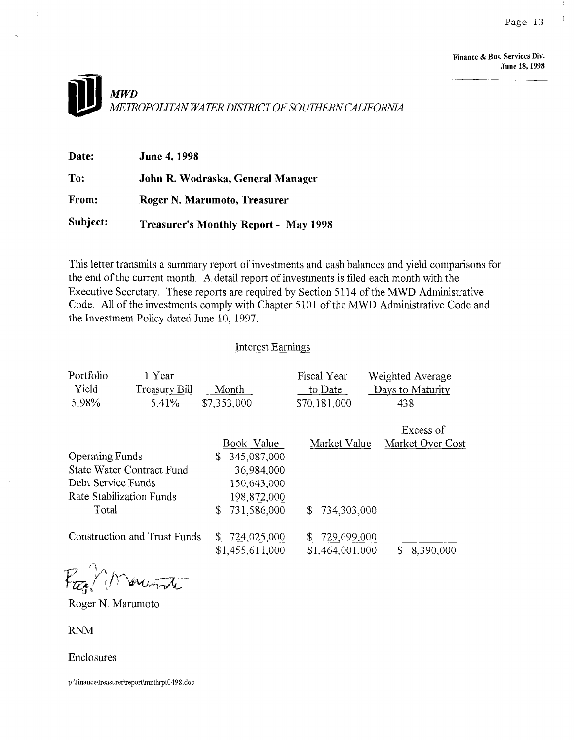Finance & Bus. Services Div. dune 18,199S



| Date:    | <b>June 4, 1998</b>                          |
|----------|----------------------------------------------|
| To:      | John R. Wodraska, General Manager            |
| From:    | Roger N. Marumoto, Treasurer                 |
| Subject: | <b>Treasurer's Monthly Report - May 1998</b> |

This letter transmits a summary report of investments and cash balances and yield comparisons for the end of the current month. A detail report of investments is filed each month with the Executive Secretary. These reports are required by Section 5 114 of the MWD Administrative Code. All of the investments comply with Chapter 5 101 of the MWD Administrative Code and the Investment Policy dated June 10, 1997.

#### Interest Earnings

| Portfolio<br>Yield<br>5.98%      | 1 Year<br>Treasury Bill<br>5.41%    | Month<br>\$7,353,000             | Fiscal Year<br>to Date<br>\$70,181,000 | Weighted Average<br>Days to Maturity<br>438 |  |
|----------------------------------|-------------------------------------|----------------------------------|----------------------------------------|---------------------------------------------|--|
|                                  |                                     |                                  |                                        | Excess of                                   |  |
|                                  |                                     | Book Value                       | Market Value                           | Market Over Cost                            |  |
| <b>Operating Funds</b>           |                                     | 345,087,000<br>\$.               |                                        |                                             |  |
| <b>State Water Contract Fund</b> |                                     | 36,984,000                       |                                        |                                             |  |
| Debt Service Funds               |                                     | 150,643,000                      |                                        |                                             |  |
|                                  | Rate Stabilization Funds            | 198,872,000                      |                                        |                                             |  |
| Total                            |                                     | 731,586,000<br>\$.               | 734,303,000<br>S.                      |                                             |  |
|                                  | <b>Construction and Trust Funds</b> | \$724,025,000<br>\$1,455,611,000 | \$729,699,000<br>\$1,464,001,000       | \$<br>8,390,000                             |  |
|                                  |                                     |                                  |                                        |                                             |  |

Page 1 Marciano

Roger N. Marumoto

**RNM** 

 $\sim$ 

Enclosures

p:\finance\treasurer\report\mnthrpt0498.doc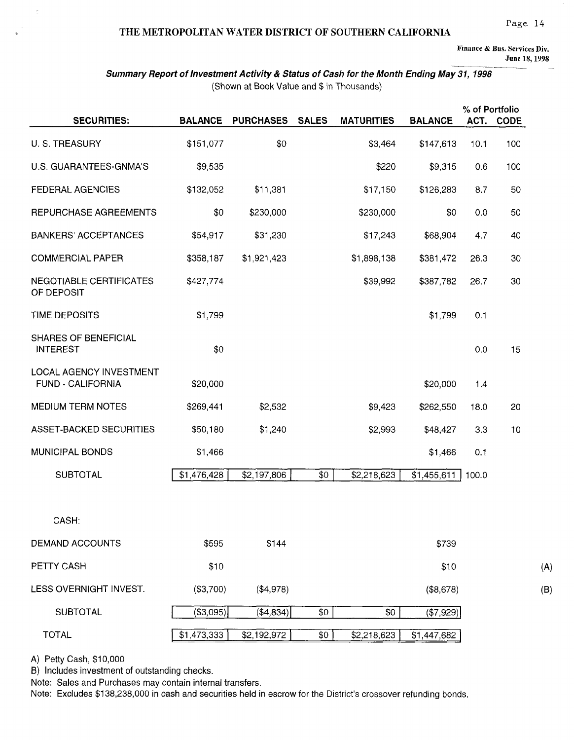#### THE METROPOLITAN WATER DISTRICT OF SOUTHERN CALIFORNIA

Finance & Bus. Services Div.

June 18,199s

 $(B)$ 

#### Summary Report of Investment Activity & Status of Cash for the Month Ending May 31, 1998 (Shown at Book Value and \$ in Thousands)

|                                                |                |                  |              |                   |                | % of Portfolio |           |
|------------------------------------------------|----------------|------------------|--------------|-------------------|----------------|----------------|-----------|
| <b>SECURITIES:</b>                             | <b>BALANCE</b> | <b>PURCHASES</b> | <b>SALES</b> | <b>MATURITIES</b> | <b>BALANCE</b> |                | ACT. CODE |
| U. S. TREASURY                                 | \$151,077      | \$0              |              | \$3,464           | \$147,613      | 10.1           | 100       |
| U.S. GUARANTEES-GNMA'S                         | \$9,535        |                  |              | \$220             | \$9,315        | 0.6            | 100       |
| FEDERAL AGENCIES                               | \$132,052      | \$11,381         |              | \$17,150          | \$126,283      | 8.7            | 50        |
| REPURCHASE AGREEMENTS                          | \$0            | \$230,000        |              | \$230,000         | \$0            | 0.0            | 50        |
| <b>BANKERS' ACCEPTANCES</b>                    | \$54,917       | \$31,230         |              | \$17,243          | \$68,904       | 4.7            | 40        |
| <b>COMMERCIAL PAPER</b>                        | \$358,187      | \$1,921,423      |              | \$1,898,138       | \$381,472      | 26.3           | 30        |
| <b>NEGOTIABLE CERTIFICATES</b><br>OF DEPOSIT   | \$427,774      |                  |              | \$39,992          | \$387,782      | 26.7           | 30        |
| TIME DEPOSITS                                  | \$1,799        |                  |              |                   | \$1,799        | 0.1            |           |
| <b>SHARES OF BENEFICIAL</b><br><b>INTEREST</b> | \$0            |                  |              |                   |                | 0.0            | 15        |
| LOCAL AGENCY INVESTMENT<br>FUND - CALIFORNIA   | \$20,000       |                  |              |                   | \$20,000       | 1.4            |           |
| <b>MEDIUM TERM NOTES</b>                       | \$269,441      | \$2,532          |              | \$9,423           | \$262,550      | 18.0           | 20        |
| ASSET-BACKED SECURITIES                        | \$50,180       | \$1,240          |              | \$2,993           | \$48,427       | 3.3            | 10        |
| <b>MUNICIPAL BONDS</b>                         | \$1,466        |                  |              |                   | \$1,466        | 0.1            |           |
| <b>SUBTOTAL</b>                                | \$1,476,428    | \$2,197,806      | \$0          | \$2,218,623       | \$1,455,611    | 100.0          |           |
|                                                |                |                  |              |                   |                |                |           |
| CASH:                                          |                |                  |              |                   |                |                |           |
| DEMAND ACCOUNTS                                | \$595          | \$144            |              |                   | \$739          |                |           |
| PETTY CASH                                     | \$10           |                  |              |                   | \$10           |                |           |
| LESS OVERNIGHT INVEST.                         | (\$3,700)      | (\$4,978)        |              |                   | (\$8,678)      |                |           |
| <b>SUBTOTAL</b>                                | (\$3,095)      | ( \$4,834]       | \$0          | \$0               | (\$7,929)      |                |           |
| <b>TOTAL</b>                                   | \$1,473,333    | \$2,192,972      | \$0          | \$2,218,623       | \$1,447,682    |                |           |

A) Petty Cash, \$10,000

 $\bar{\zeta}$ 

 $\tilde{\mathcal{D}}$ 

B) Includes investment of outstanding checks.

Note: Sales and Purchases may contain internal transfers.

Note: Excludes \$138,238,000 in cash and securities held in escrow for the District's crossover refunding bonds.